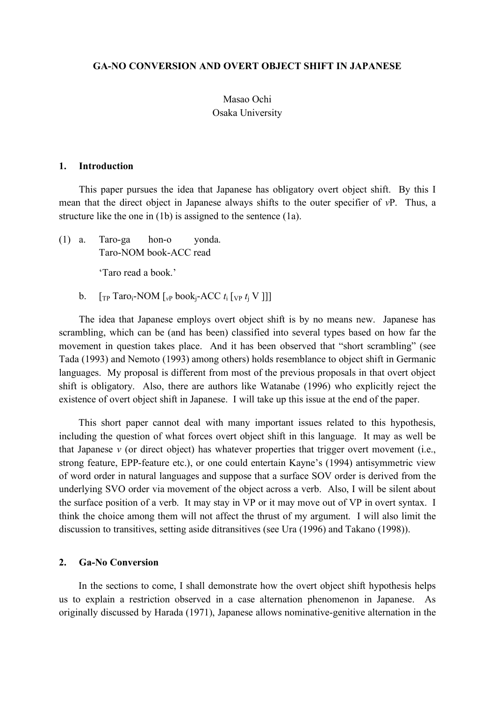#### **GA-NO CONVERSION AND OVERT OBJECT SHIFT IN JAPANESE**

### Masao Ochi Osaka University

#### **1. Introduction**

This paper pursues the idea that Japanese has obligatory overt object shift. By this I mean that the direct object in Japanese always shifts to the outer specifier of *v*P. Thus, a structure like the one in (1b) is assigned to the sentence (1a).

(1) a. Taro-ga hon-o yonda. Taro-NOM book-ACC read

'Taro read a book.'

b.  $[\text{TP} \text{Taro}_i\text{-NOM} \text{F}_v\text{book}_i\text{-ACC} t_i \text{F}_v\text{F}_i\text{V}$ 

The idea that Japanese employs overt object shift is by no means new. Japanese has scrambling, which can be (and has been) classified into several types based on how far the movement in question takes place. And it has been observed that "short scrambling" (see Tada (1993) and Nemoto (1993) among others) holds resemblance to object shift in Germanic languages. My proposal is different from most of the previous proposals in that overt object shift is obligatory. Also, there are authors like Watanabe (1996) who explicitly reject the existence of overt object shift in Japanese. I will take up this issue at the end of the paper.

This short paper cannot deal with many important issues related to this hypothesis, including the question of what forces overt object shift in this language. It may as well be that Japanese *v* (or direct object) has whatever properties that trigger overt movement (i.e., strong feature, EPP-feature etc.), or one could entertain Kayne's (1994) antisymmetric view of word order in natural languages and suppose that a surface SOV order is derived from the underlying SVO order via movement of the object across a verb. Also, I will be silent about the surface position of a verb. It may stay in VP or it may move out of VP in overt syntax. I think the choice among them will not affect the thrust of my argument. I will also limit the discussion to transitives, setting aside ditransitives (see Ura (1996) and Takano (1998)).

#### **2. Ga-No Conversion**

In the sections to come, I shall demonstrate how the overt object shift hypothesis helps us to explain a restriction observed in a case alternation phenomenon in Japanese. As originally discussed by Harada (1971), Japanese allows nominative-genitive alternation in the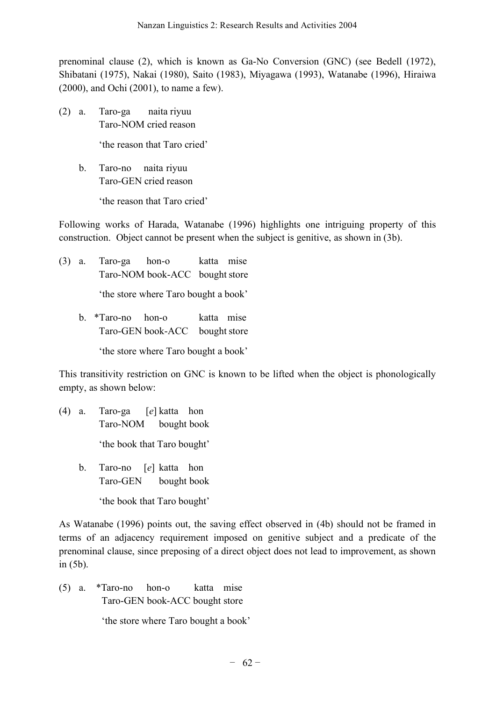prenominal clause (2), which is known as Ga-No Conversion (GNC) (see Bedell (1972), Shibatani (1975), Nakai (1980), Saito (1983), Miyagawa (1993), Watanabe (1996), Hiraiwa (2000), and Ochi (2001), to name a few).

(2) a. Taro-ga naita riyuu Taro-NOM cried reason

'the reason that Taro cried'

b. Taro-no naita riyuu Taro-GEN cried reason

'the reason that Taro cried'

Following works of Harada, Watanabe (1996) highlights one intriguing property of this construction. Object cannot be present when the subject is genitive, as shown in (3b).

(3) a. Taro-ga hon-o katta mise Taro-NOM book-ACC bought store 'the store where Taro bought a book' b. \*Taro-no hon-o katta mise Taro-GEN book-ACC bought store

'the store where Taro bought a book'

This transitivity restriction on GNC is known to be lifted when the object is phonologically empty, as shown below:

- (4) a. Taro-ga [*e*] katta hon Taro-NOM bought book 'the book that Taro bought'
	- b. Taro-no [*e*] katta hon Taro-GEN bought book 'the book that Taro bought'

As Watanabe (1996) points out, the saving effect observed in (4b) should not be framed in terms of an adjacency requirement imposed on genitive subject and a predicate of the prenominal clause, since preposing of a direct object does not lead to improvement, as shown in (5b).

(5) a. \*Taro-no hon-o katta mise Taro-GEN book-ACC bought store

'the store where Taro bought a book'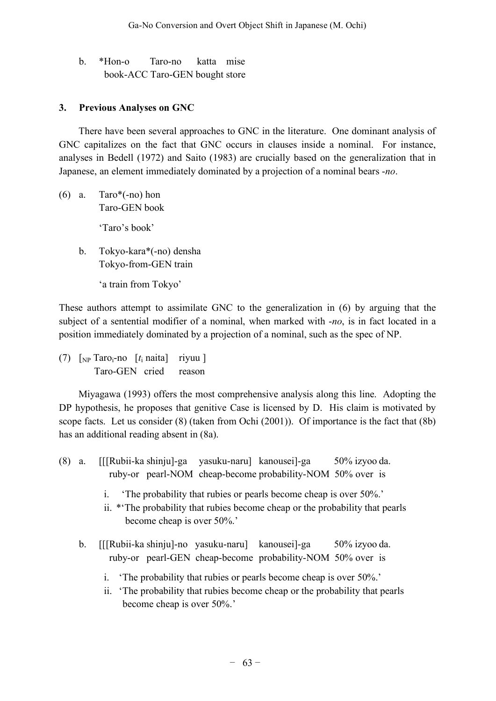b. \*Hon-o Taro-no katta mise book-ACC Taro-GEN bought store

# **3. Previous Analyses on GNC**

There have been several approaches to GNC in the literature. One dominant analysis of GNC capitalizes on the fact that GNC occurs in clauses inside a nominal. For instance, analyses in Bedell (1972) and Saito (1983) are crucially based on the generalization that in Japanese, an element immediately dominated by a projection of a nominal bears -*no*.

(6) a. Taro $*($ -no) hon Taro-GEN book

'Taro's book'

- b. Tokyo-kara\*(-no) densha Tokyo-from-GEN train
	- 'a train from Tokyo'

These authors attempt to assimilate GNC to the generalization in (6) by arguing that the subject of a sentential modifier of a nominal, when marked with -*no*, is in fact located in a position immediately dominated by a projection of a nominal, such as the spec of NP.

(7)  $\lceil_{NP}$  Taro<sub>i</sub>-no  $\lceil t_i \rceil$  naita riyuu ] Taro-GEN cried reason

Miyagawa (1993) offers the most comprehensive analysis along this line. Adopting the DP hypothesis, he proposes that genitive Case is licensed by D. His claim is motivated by scope facts. Let us consider (8) (taken from Ochi (2001)). Of importance is the fact that (8b) has an additional reading absent in (8a).

- (8) a. [[[Rubii-ka shinju]-ga yasuku-naru] kanousei]-ga 50% izyoo da. ruby-or pearl-NOM cheap-become probability-NOM 50% over is
	- i. 'The probability that rubies or pearls become cheap is over 50%.'
	- ii. \*'The probability that rubies become cheap or the probability that pearls become cheap is over 50%.'
	- b. [[[Rubii-ka shinju]-no yasuku-naru] kanousei]-ga 50% izyoo da. ruby-or pearl-GEN cheap-become probability-NOM 50% over is
		- i. 'The probability that rubies or pearls become cheap is over 50%.'
		- ii. 'The probability that rubies become cheap or the probability that pearls become cheap is over 50%.'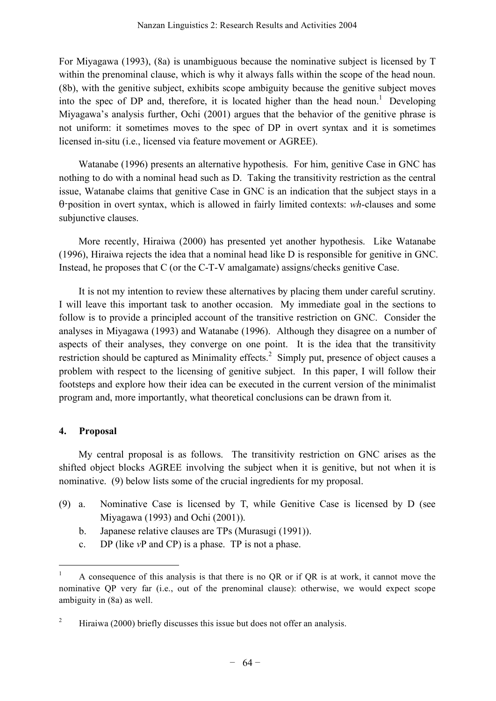For Miyagawa (1993), (8a) is unambiguous because the nominative subject is licensed by T within the prenominal clause, which is why it always falls within the scope of the head noun. (8b), with the genitive subject, exhibits scope ambiguity because the genitive subject moves into the spec of DP and, therefore, it is located higher than the head noun. <sup>1</sup> Developing Miyagawa's analysis further, Ochi (2001) argues that the behavior of the genitive phrase is not uniform: it sometimes moves to the spec of DP in overt syntax and it is sometimes licensed in-situ (i.e., licensed via feature movement or AGREE).

Watanabe (1996) presents an alternative hypothesis. For him, genitive Case in GNC has nothing to do with a nominal head such as D. Taking the transitivity restriction as the central issue, Watanabe claims that genitive Case in GNC is an indication that the subject stays in a θ-position in overt syntax, which is allowed in fairly limited contexts: *wh*-clauses and some subjunctive clauses.

More recently, Hiraiwa (2000) has presented yet another hypothesis. Like Watanabe (1996), Hiraiwa rejects the idea that a nominal head like D is responsible for genitive in GNC. Instead, he proposes that C (or the C-T-V amalgamate) assigns/checks genitive Case.

It is not my intention to review these alternatives by placing them under careful scrutiny. I will leave this important task to another occasion. My immediate goal in the sections to follow is to provide a principled account of the transitive restriction on GNC. Consider the analyses in Miyagawa (1993) and Watanabe (1996). Although they disagree on a number of aspects of their analyses, they converge on one point. It is the idea that the transitivity restriction should be captured as Minimality effects.<sup>2</sup> Simply put, presence of object causes a problem with respect to the licensing of genitive subject. In this paper, I will follow their footsteps and explore how their idea can be executed in the current version of the minimalist program and, more importantly, what theoretical conclusions can be drawn from it.

#### **4. Proposal**

My central proposal is as follows. The transitivity restriction on GNC arises as the shifted object blocks AGREE involving the subject when it is genitive, but not when it is nominative. (9) below lists some of the crucial ingredients for my proposal.

- (9) a. Nominative Case is licensed by T, while Genitive Case is licensed by D (see Miyagawa (1993) and Ochi (2001)).
	- b. Japanese relative clauses are TPs (Murasugi (1991)).
	- c. DP (like *v*P and CP) is a phase. TP is not a phase.

 <sup>1</sup> <sup>A</sup> consequence of this analysis is that there is no QR or if QR is at work, it cannot move the nominative QP very far (i.e., out of the prenominal clause): otherwise, we would expect scope ambiguity in (8a) as well.

<sup>&</sup>lt;sup>2</sup> Hiraiwa (2000) briefly discusses this issue but does not offer an analysis.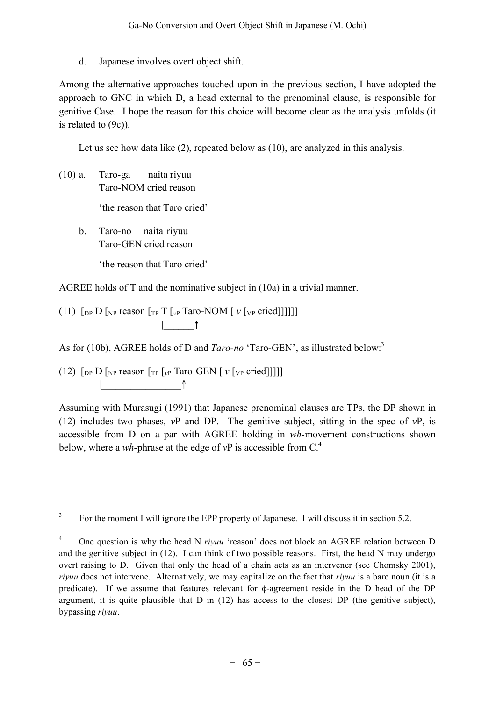d. Japanese involves overt object shift.

Among the alternative approaches touched upon in the previous section, I have adopted the approach to GNC in which D, a head external to the prenominal clause, is responsible for genitive Case. I hope the reason for this choice will become clear as the analysis unfolds (it is related to (9c)).

Let us see how data like (2), repeated below as (10), are analyzed in this analysis.

- (10) a. Taro-ga naita riyuu Taro-NOM cried reason 'the reason that Taro cried'
	- b. Taro-no naita riyuu Taro-GEN cried reason 'the reason that Taro cried'

AGREE holds of T and the nominative subject in (10a) in a trivial manner.

(11)  $\lceil \text{DP } D \rceil_{NP}$  reason  $\lceil \text{TP } T \rceil_{VP}$  Taro-NOM  $\lceil v \rceil_{VP}$  cried]]]]]]  $\uparrow$   $\uparrow$ 

As for (10b), AGREE holds of D and *Taro-no* 'Taro-GEN', as illustrated below: 3

(12)  $\lceil \ln P \rceil_{\text{NP}}$  reason  $\lceil \ln P \rceil_{\text{VP}}$  Taro-GEN  $\lceil \nu \rceil_{\text{VP}}$  cried]]]] |\_\_\_\_\_\_\_\_\_\_\_\_\_\_\_\_↑

Assuming with Murasugi (1991) that Japanese prenominal clauses are TPs, the DP shown in (12) includes two phases, *v*P and DP. The genitive subject, sitting in the spec of *v*P, is accessible from D on a par with AGREE holding in *wh*-movement constructions shown below, where a *wh*-phrase at the edge of  $vP$  is accessible from  $C<sup>4</sup>$ .

<sup>&</sup>lt;sup>3</sup> For the moment I will ignore the EPP property of Japanese. I will discuss it in section 5.2.

<sup>&</sup>lt;sup>4</sup> One question is why the head N *riyuu* 'reason' does not block an AGREE relation between D and the genitive subject in (12). I can think of two possible reasons. First, the head N may undergo overt raising to D. Given that only the head of a chain acts as an intervener (see Chomsky 2001), *riyuu* does not intervene. Alternatively, we may capitalize on the fact that *riyuu* is a bare noun (it is a predicate). If we assume that features relevant for φ-agreement reside in the D head of the DP argument, it is quite plausible that  $D$  in (12) has access to the closest  $DP$  (the genitive subject), bypassing *riyuu*.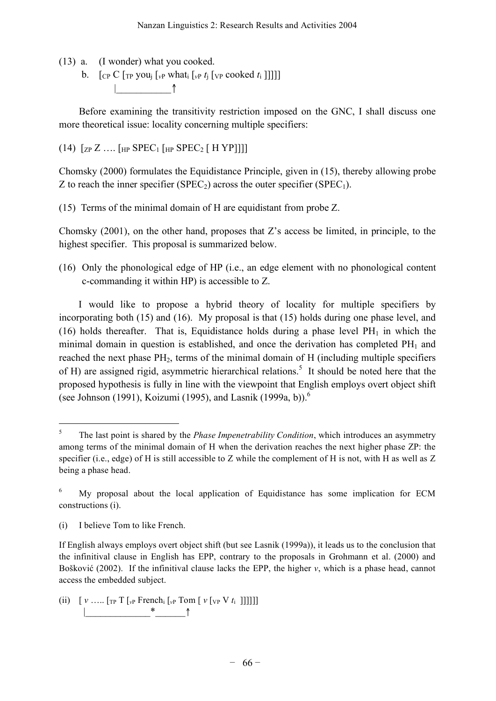(13) a. (I wonder) what you cooked.

b.  $\left[ \int_{\mathbb{C}P} C \left[ \int_{\mathbb{C}P} \gamma \rho w \right] \left[ \int_{\mathbb{C}P} w \right] \right]$  [*vp cooked t<sub>i</sub>*]]]]] |\_\_\_\_\_\_\_\_\_\_\_↑

Before examining the transitivity restriction imposed on the GNC, I shall discuss one more theoretical issue: locality concerning multiple specifiers:

(14)  $[z_{P} Z ... [HP SPEC_{1} [HP SPEC_{2} [HYP]]]]$ 

Chomsky (2000) formulates the Equidistance Principle, given in (15), thereby allowing probe Z to reach the inner specifier (SPEC<sub>2</sub>) across the outer specifier (SPEC<sub>1</sub>).

(15) Terms of the minimal domain of H are equidistant from probe Z.

Chomsky (2001), on the other hand, proposes that Z's access be limited, in principle, to the highest specifier. This proposal is summarized below.

(16) Only the phonological edge of HP (i.e., an edge element with no phonological content c-commanding it within HP) is accessible to Z.

I would like to propose a hybrid theory of locality for multiple specifiers by incorporating both (15) and (16). My proposal is that (15) holds during one phase level, and (16) holds thereafter. That is, Equidistance holds during a phase level  $PH_1$  in which the minimal domain in question is established, and once the derivation has completed  $PH_1$  and reached the next phase  $PH_2$ , terms of the minimal domain of H (including multiple specifiers of H) are assigned rigid, asymmetric hierarchical relations.<sup>5</sup> It should be noted here that the proposed hypothesis is fully in line with the viewpoint that English employs overt object shift (see Johnson (1991), Koizumi (1995), and Lasnik (1999a, b)).<sup>6</sup>

(ii)  $[v \dots [T_P T]_{vP}$  French<sub>i</sub>  $[v_P T \dots [v]_{vP} V t_i ]]]]]]$ |\_\_\_\_\_\_\_\_\_\_\_\_\_\*\_\_\_\_\_\_↑

 <sup>5</sup> The last point is shared by the *Phase Impenetrability Condition*, which introduces an asymmetry among terms of the minimal domain of H when the derivation reaches the next higher phase ZP: the specifier (i.e., edge) of H is still accessible to Z while the complement of H is not, with H as well as Z being a phase head.

<sup>6</sup> My proposal about the local application of Equidistance has some implication for ECM constructions (i).

<sup>(</sup>i) I believe Tom to like French.

If English always employs overt object shift (but see Lasnik (1999a)), it leads us to the conclusion that the infinitival clause in English has EPP, contrary to the proposals in Grohmann et al. (2000) and Bošković (2002). If the infinitival clause lacks the EPP, the higher *v*, which is a phase head, cannot access the embedded subject.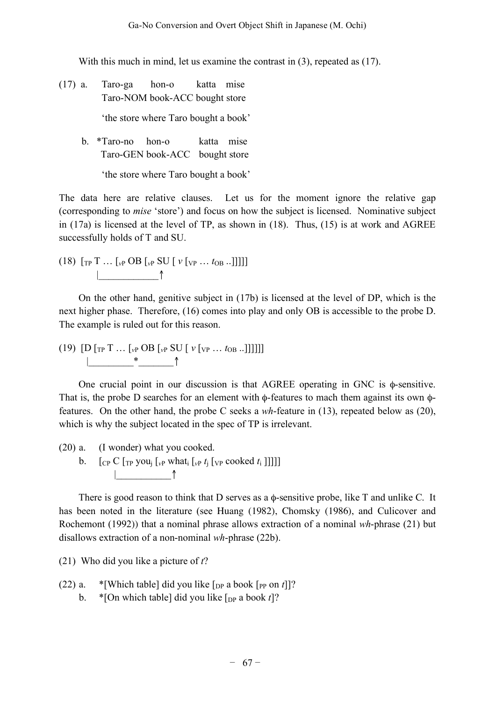With this much in mind, let us examine the contrast in (3), repeated as (17).

- (17) a. Taro-ga hon-o katta mise Taro-NOM book-ACC bought store 'the store where Taro bought a book'
	- b. \*Taro-no hon-o katta mise Taro-GEN book-ACC bought store

'the store where Taro bought a book'

The data here are relative clauses. Let us for the moment ignore the relative gap (corresponding to *mise* 'store') and focus on how the subject is licensed. Nominative subject in (17a) is licensed at the level of TP, as shown in (18). Thus, (15) is at work and AGREE successfully holds of T and SU.

$$
(18) \; [\text{tp T } \dots \text{ [vP } OB \text{ [vP } SU \text{ [ } v \text{ [vP } \dots \text{ toB } ..]]]]]
$$

On the other hand, genitive subject in (17b) is licensed at the level of DP, which is the next higher phase. Therefore, (16) comes into play and only OB is accessible to the probe D. The example is ruled out for this reason.

(19)  $[D [T_{\text{P}} T ... [T_{\text{P}} T_{\text{P}} S U [V [T_{\text{P}} ... T_{\text{O}} B ...]]]]]$ |\_\_\_\_\_\_\_\_\_\*\_\_\_\_\_\_\_↑

One crucial point in our discussion is that AGREE operating in GNC is φ-sensitive. That is, the probe D searches for an element with φ-features to mach them against its own φfeatures. On the other hand, the probe C seeks a *wh*-feature in (13), repeated below as (20), which is why the subject located in the spec of TP is irrelevant.

- (20) a. (I wonder) what you cooked.
	- b.  $\int_{\mathbb{C}P} C \int_{\mathbb{C}P} y \, \text{out}_i \left[ \int_{\mathbb{C}P} v \, \text{that}_i \left[ \int_{\mathbb{C}P} t_i \right] \left[ \int_{\mathbb{C}P} \text{cooked } t_i \right] \right]$ |\_\_\_\_\_\_\_\_\_\_\_↑

There is good reason to think that D serves as a  $\phi$ -sensitive probe, like T and unlike C. It has been noted in the literature (see Huang (1982), Chomsky (1986), and Culicover and Rochemont (1992)) that a nominal phrase allows extraction of a nominal *wh*-phrase (21) but disallows extraction of a non-nominal *wh*-phrase (22b).

(21) Who did you like a picture of *t*?

- (22) a. \*[Which table] did you like  $[p_P \text{ a book } [PP \text{ on } t]]$ ?
	- b. \* [On which table] did you like  $\lceil \frac{D}{2} \rceil$  a book *t*]?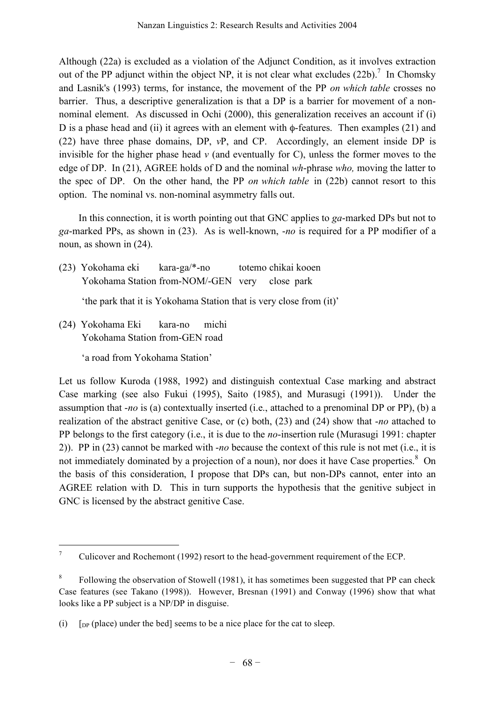Although (22a) is excluded as a violation of the Adjunct Condition, as it involves extraction out of the PP adjunct within the object NP, it is not clear what excludes  $(22b)$ .<sup>7</sup> In Chomsky and Lasnik's (1993) terms, for instance, the movement of the PP *on which table* crosses no barrier. Thus, a descriptive generalization is that a DP is a barrier for movement of a nonnominal element. As discussed in Ochi (2000), this generalization receives an account if (i) D is a phase head and (ii) it agrees with an element with φ-features. Then examples (21) and (22) have three phase domains, DP, *v*P, and CP. Accordingly, an element inside DP is invisible for the higher phase head *v* (and eventually for C), unless the former moves to the edge of DP. In (21), AGREE holds of D and the nominal *wh*-phrase *who,* moving the latter to the spec of DP. On the other hand, the PP *on which table* in (22b) cannot resort to this option. The nominal vs. non-nominal asymmetry falls out.

In this connection, it is worth pointing out that GNC applies to *ga*-marked DPs but not to *ga*-marked PPs, as shown in (23). As is well-known, -*no* is required for a PP modifier of a noun, as shown in (24).

(23) Yokohama eki kara-ga/\*-no totemo chikai kooen Yokohama Station from-NOM/-GEN very close park

'the park that it is Yokohama Station that is very close from (it)'

(24) Yokohama Eki kara-no michi Yokohama Station from-GEN road

'a road from Yokohama Station'

Let us follow Kuroda (1988, 1992) and distinguish contextual Case marking and abstract Case marking (see also Fukui (1995), Saito (1985), and Murasugi (1991)). Under the assumption that -*no* is (a) contextually inserted (i.e., attached to a prenominal DP or PP), (b) a realization of the abstract genitive Case, or (c) both, (23) and (24) show that -*no* attached to PP belongs to the first category (i.e., it is due to the *no*-insertion rule (Murasugi 1991: chapter 2)). PP in (23) cannot be marked with -*no* because the context of this rule is not met (i.e., it is not immediately dominated by a projection of a noun), nor does it have Case properties.<sup>8</sup> On the basis of this consideration, I propose that DPs can, but non-DPs cannot, enter into an AGREE relation with D. This in turn supports the hypothesis that the genitive subject in GNC is licensed by the abstract genitive Case.

<sup>&</sup>lt;sup>7</sup> Culicover and Rochemont (1992) resort to the head-government requirement of the ECP.

<sup>&</sup>lt;sup>8</sup> Following the observation of Stowell (1981), it has sometimes been suggested that PP can check Case features (see Takano (1998)). However, Bresnan (1991) and Conway (1996) show that what looks like a PP subject is a NP/DP in disguise.

<sup>(</sup>i)  $\int_{DP}$  (place) under the bed] seems to be a nice place for the cat to sleep.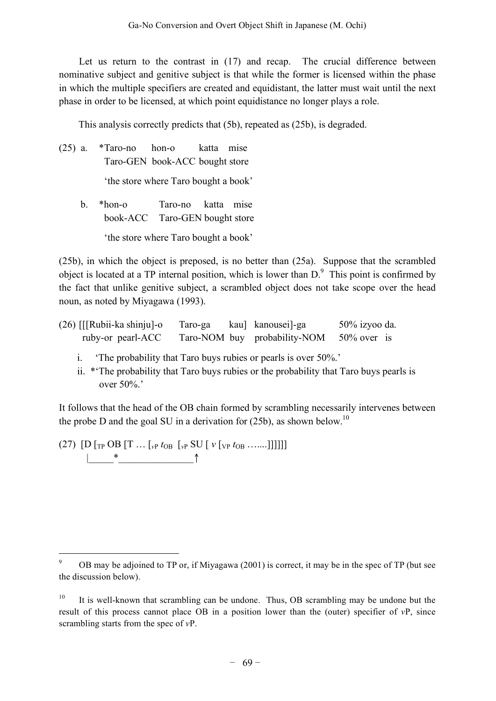Let us return to the contrast in  $(17)$  and recap. The crucial difference between nominative subject and genitive subject is that while the former is licensed within the phase in which the multiple specifiers are created and equidistant, the latter must wait until the next phase in order to be licensed, at which point equidistance no longer plays a role.

This analysis correctly predicts that (5b), repeated as (25b), is degraded.

(25) a. \*Taro-no hon-o katta mise Taro-GEN book-ACC bought store 'the store where Taro bought a book' b. \*hon-o Taro-no katta mise book-ACC Taro-GEN bought store 'the store where Taro bought a book'

(25b), in which the object is preposed, is no better than (25a). Suppose that the scrambled object is located at a TP internal position, which is lower than  $D^{\circ}$ . This point is confirmed by the fact that unlike genitive subject, a scrambled object does not take scope over the head noun, as noted by Miyagawa (1993).

| $(26)$ [[Rubii-ka shinju]-o | Taro-ga | kau] kanousei]-ga                        | $50\%$ izyoo da. |
|-----------------------------|---------|------------------------------------------|------------------|
| ruby-or pearl-ACC           |         | Taro-NOM buy probability-NOM 50% over is |                  |

- i. 'The probability that Taro buys rubies or pearls is over 50%.'
- ii. \*'The probability that Taro buys rubies or the probability that Taro buys pearls is over 50%.'

It follows that the head of the OB chain formed by scrambling necessarily intervenes between the probe D and the goal SU in a derivation for  $(25b)$ , as shown below.<sup>10</sup>

 $(27)$  [D [<sub>TP</sub> OB [T ... [<sub>*vP</sub> t*<sub>OB</sub> [*v<sub>P</sub>* SU [ *v* [*v<sub>P</sub> t*<sub>OB</sub> .......]]]]]]</sub>  $\uparrow$  \*  $\uparrow$ 

<sup>&</sup>lt;sup>9</sup> OB may be adjoined to TP or, if Miyagawa (2001) is correct, it may be in the spec of TP (but see the discussion below).

<sup>&</sup>lt;sup>10</sup> It is well-known that scrambling can be undone. Thus, OB scrambling may be undone but the result of this process cannot place OB in a position lower than the (outer) specifier of *v*P, since scrambling starts from the spec of *v*P.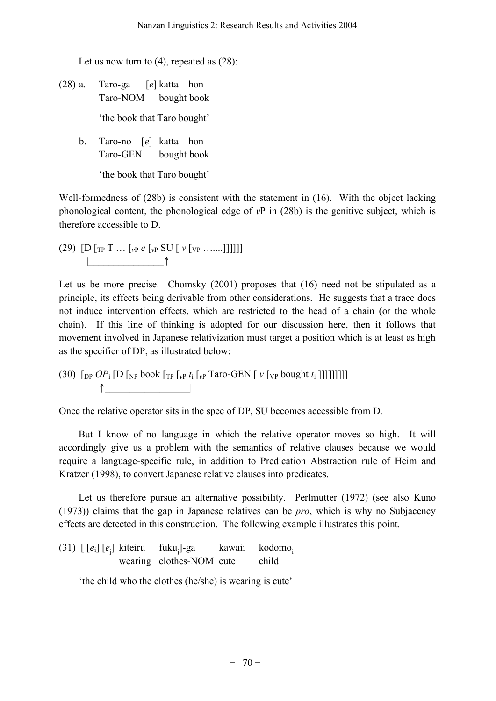Let us now turn to (4), repeated as  $(28)$ :

- (28) a. Taro-ga [*e*] katta hon Taro-NOM bought book 'the book that Taro bought'
	- b. Taro-no [*e*] katta hon Taro-GEN bought book

'the book that Taro bought'

Well-formedness of (28b) is consistent with the statement in (16). With the object lacking phonological content, the phonological edge of *v*P in (28b) is the genitive subject, which is therefore accessible to D.

 $(29)$   $[D [T P T ... [v P e [v P SU [ v [v P ...]]]]]]]$ |\_\_\_\_\_\_\_\_\_\_\_\_\_\_\_↑

Let us be more precise. Chomsky (2001) proposes that (16) need not be stipulated as a principle, its effects being derivable from other considerations. He suggests that a trace does not induce intervention effects, which are restricted to the head of a chain (or the whole chain). If this line of thinking is adopted for our discussion here, then it follows that movement involved in Japanese relativization must target a position which is at least as high as the specifier of DP, as illustrated below:

(30)  $\left[ \text{DP } OP_i \left[ D \left[ \text{NP} \text{book} \left[ \text{TP } \left[ \text{VP } t_i \left[ \text{VP} \text{Trace-H} \left[ V \left[ \text{VP} \text{ bought } t_i \right] \right] \right] \right] \right] \right] \right]$  $\uparrow$ 

Once the relative operator sits in the spec of DP, SU becomes accessible from D.

But I know of no language in which the relative operator moves so high. It will accordingly give us a problem with the semantics of relative clauses because we would require a language-specific rule, in addition to Predication Abstraction rule of Heim and Kratzer (1998), to convert Japanese relative clauses into predicates.

Let us therefore pursue an alternative possibility. Perlmutter (1972) (see also Kuno (1973)) claims that the gap in Japanese relatives can be *pro*, which is why no Subjacency effects are detected in this construction. The following example illustrates this point.

(31) [ [*e*i] [*e*<sup>j</sup> ] kiteiru fukuj  $\text{fuku}_{i}$ ]-ga kawaii kodomo<sub>i</sub> wearing clothes-NOM cute child

'the child who the clothes (he/she) is wearing is cute'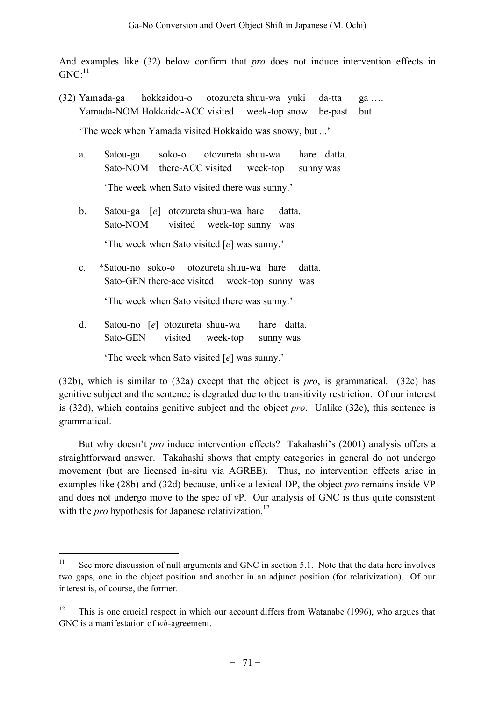And examples like (32) below confirm that *pro* does not induce intervention effects in  $GNC:^{11}$ 

(32) Yamada-ga hokkaidou-o otozureta shuu-wa yuki da-tta ga …. Yamada-NOM Hokkaido-ACC visited week-top snow be-past but

'The week when Yamada visited Hokkaido was snowy, but ...'

a. Satou-ga soko-o otozureta shuu-wa hare datta. Sato-NOM there-ACC visited week-top sunny was

'The week when Sato visited there was sunny.'

b. Satou-ga [*e*] otozureta shuu-wa hare datta. Sato-NOM visited week-top sunny was

'The week when Sato visited [*e*] was sunny.'

c. \*Satou-no soko-o otozureta shuu-wa hare datta. Sato-GEN there-acc visited week-top sunny was

'The week when Sato visited there was sunny.'

d. Satou-no [*e*] otozureta shuu-wa hare datta. Sato-GEN visited week-top sunny was

'The week when Sato visited [*e*] was sunny.'

(32b), which is similar to (32a) except that the object is *pro*, is grammatical. (32c) has genitive subject and the sentence is degraded due to the transitivity restriction. Of our interest is (32d), which contains genitive subject and the object *pro*. Unlike (32c), this sentence is grammatical.

But why doesn't *pro* induce intervention effects? Takahashi's (2001) analysis offers a straightforward answer. Takahashi shows that empty categories in general do not undergo movement (but are licensed in-situ via AGREE). Thus, no intervention effects arise in examples like (28b) and (32d) because, unlike a lexical DP, the object *pro* remains inside VP and does not undergo move to the spec of *v*P. Our analysis of GNC is thus quite consistent with the *pro* hypothesis for Japanese relativization.<sup>12</sup>

<sup>&</sup>lt;sup>11</sup> See more discussion of null arguments and GNC in section 5.1. Note that the data here involves two gaps, one in the object position and another in an adjunct position (for relativization). Of our interest is, of course, the former.

 $12$  This is one crucial respect in which our account differs from Watanabe (1996), who argues that GNC is a manifestation of *wh*-agreement.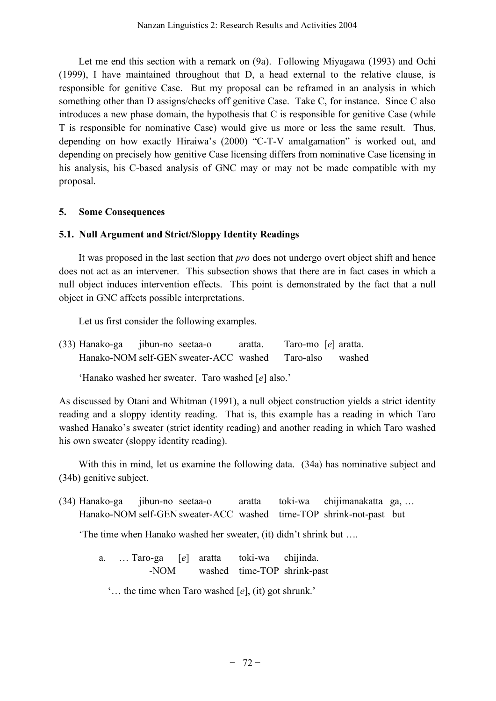Let me end this section with a remark on (9a). Following Miyagawa (1993) and Ochi (1999), I have maintained throughout that D, a head external to the relative clause, is responsible for genitive Case. But my proposal can be reframed in an analysis in which something other than D assigns/checks off genitive Case. Take C, for instance. Since C also introduces a new phase domain, the hypothesis that C is responsible for genitive Case (while T is responsible for nominative Case) would give us more or less the same result. Thus, depending on how exactly Hiraiwa's (2000) "C-T-V amalgamation" is worked out, and depending on precisely how genitive Case licensing differs from nominative Case licensing in his analysis, his C-based analysis of GNC may or may not be made compatible with my proposal.

### **5. Some Consequences**

# **5.1. Null Argument and Strict/Sloppy Identity Readings**

It was proposed in the last section that *pro* does not undergo overt object shift and hence does not act as an intervener. This subsection shows that there are in fact cases in which a null object induces intervention effects. This point is demonstrated by the fact that a null object in GNC affects possible interpretations.

Let us first consider the following examples.

(33) Hanako-ga jibun-no seetaa-o aratta. Taro-mo [*e*] aratta. Hanako-NOM self-GEN sweater-ACC washed Taro-also washed

# 'Hanako washed her sweater. Taro washed [*e*] also.'

As discussed by Otani and Whitman (1991), a null object construction yields a strict identity reading and a sloppy identity reading. That is, this example has a reading in which Taro washed Hanako's sweater (strict identity reading) and another reading in which Taro washed his own sweater (sloppy identity reading).

With this in mind, let us examine the following data. (34a) has nominative subject and (34b) genitive subject.

(34) Hanako-ga jibun-no seetaa-o aratta toki-wa chijimanakatta ga, … Hanako-NOM self-GEN sweater-ACC washed time-TOP shrink-not-past but

'The time when Hanako washed her sweater, (it) didn't shrink but ….

a. … Taro-ga [*e*] aratta toki-wa chijinda. -NOM washed time-TOP shrink-past

'… the time when Taro washed [*e*], (it) got shrunk.'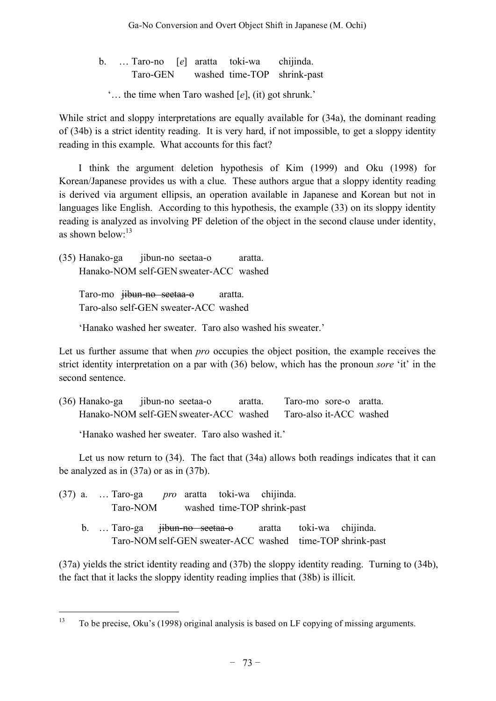b. … Taro-no [*e*] aratta toki-wa chijinda. Taro-GEN washed time-TOP shrink-past

'… the time when Taro washed [*e*], (it) got shrunk.'

While strict and sloppy interpretations are equally available for (34a), the dominant reading of (34b) is a strict identity reading. It is very hard, if not impossible, to get a sloppy identity reading in this example. What accounts for this fact?

I think the argument deletion hypothesis of Kim (1999) and Oku (1998) for Korean/Japanese provides us with a clue. These authors argue that a sloppy identity reading is derived via argument ellipsis, an operation available in Japanese and Korean but not in languages like English. According to this hypothesis, the example (33) on its sloppy identity reading is analyzed as involving PF deletion of the object in the second clause under identity, as shown below:<sup>13</sup>

(35) Hanako-ga jibun-no seetaa-o aratta. Hanako-NOM self-GEN sweater-ACC washed

Taro-mo <del>jibun-no seetaa-o</del> aratta. Taro-also self-GEN sweater-ACC washed

'Hanako washed her sweater. Taro also washed his sweater.'

Let us further assume that when *pro* occupies the object position, the example receives the strict identity interpretation on a par with (36) below, which has the pronoun *sore* 'it' in the second sentence.

(36) Hanako-ga jibun-no seetaa-o aratta. Taro-mo sore-o aratta. Hanako-NOM self-GEN sweater-ACC washed Taro-also it-ACC washed

'Hanako washed her sweater. Taro also washed it.'

Let us now return to (34). The fact that (34a) allows both readings indicates that it can be analyzed as in (37a) or as in (37b).

- (37) a. … Taro-ga *pro* aratta toki-wa chijinda. Taro-NOM washed time-TOP shrink-past
	- b. … Taro-ga jibun-no seetaa-o aratta toki-wa chijinda. Taro-NOM self-GEN sweater-ACC washed time-TOP shrink-past

(37a) yields the strict identity reading and (37b) the sloppy identity reading. Turning to (34b), the fact that it lacks the sloppy identity reading implies that (38b) is illicit.

<sup>&</sup>lt;sup>13</sup> To be precise, Oku's (1998) original analysis is based on LF copying of missing arguments.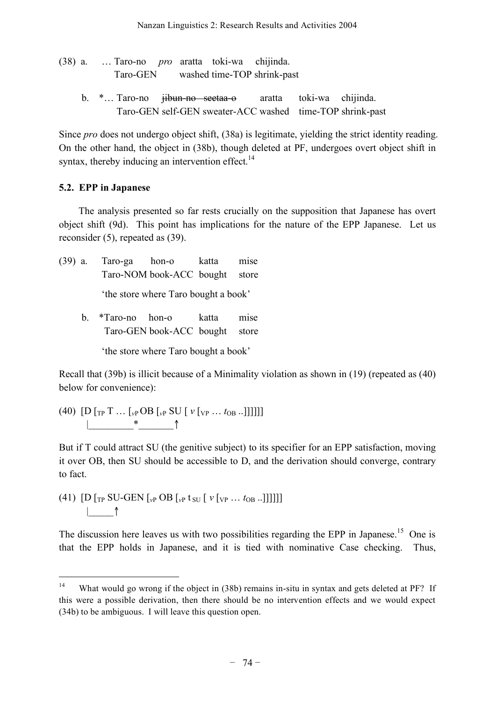- (38) a. … Taro-no *pro* aratta toki-wa chijinda. Taro-GEN washed time-TOP shrink-past
	- b. \*… Taro-no jibun-no seetaa-o aratta toki-wa chijinda. Taro-GEN self-GEN sweater-ACC washed time-TOP shrink-past

Since *pro* does not undergo object shift, (38a) is legitimate, yielding the strict identity reading. On the other hand, the object in (38b), though deleted at PF, undergoes overt object shift in syntax, thereby inducing an intervention effect.<sup>14</sup>

# **5.2. EPP in Japanese**

The analysis presented so far rests crucially on the supposition that Japanese has overt object shift (9d). This point has implications for the nature of the EPP Japanese. Let us reconsider (5), repeated as (39).

(39) a. Taro-ga hon-o katta mise Taro-NOM book-ACC bought store 'the store where Taro bought a book' b. \*Taro-no hon-o katta mise Taro-GEN book-ACC bought store

'the store where Taro bought a book'

Recall that (39b) is illicit because of a Minimality violation as shown in (19) (repeated as (40) below for convenience):

 $(40)$   $[D [T P T ... [v P OB [v P SU [v [v P ... b] B ...]]]]]$ |\_\_\_\_\_\_\_\_\_\*\_\_\_\_\_\_\_↑

But if T could attract SU (the genitive subject) to its specifier for an EPP satisfaction, moving it over OB, then SU should be accessible to D, and the derivation should converge, contrary to fact.

(41)  $[D]_{TP}$  SU-GEN  $\int_{\nu}$ P OB  $\int_{\nu}$ P t su  $\int$   $\nu$   $\int_{\nu}$ P ...  $t_{OB}$  ... |\_\_\_\_\_↑

The discussion here leaves us with two possibilities regarding the EPP in Japanese.<sup>15</sup> One is that the EPP holds in Japanese, and it is tied with nominative Case checking. Thus,

<sup>&</sup>lt;sup>14</sup> What would go wrong if the object in (38b) remains in-situ in syntax and gets deleted at PF? If this were a possible derivation, then there should be no intervention effects and we would expect (34b) to be ambiguous. I will leave this question open.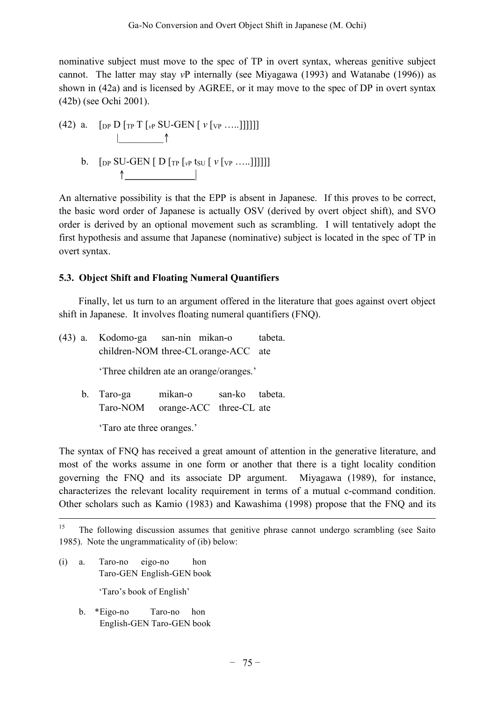nominative subject must move to the spec of TP in overt syntax, whereas genitive subject cannot. The latter may stay *v*P internally (see Miyagawa (1993) and Watanabe (1996)) as shown in (42a) and is licensed by AGREE, or it may move to the spec of DP in overt syntax (42b) (see Ochi 2001).

- (42) a.  $\left[\int_{\text{DP}} D \left[\int_{\text{TP}} T \left[\int_{\text{VP}} SU\text{-}GEN \left[\int \int_{\text{VP}} \ldots \right]\right]\right]\right]$  $\uparrow$   $\uparrow$ 
	- b.  $[pP SU-GEN [D [TP [VP] [VP] [VP] ...]]]]]$  $\uparrow$

An alternative possibility is that the EPP is absent in Japanese. If this proves to be correct, the basic word order of Japanese is actually OSV (derived by overt object shift), and SVO order is derived by an optional movement such as scrambling. I will tentatively adopt the first hypothesis and assume that Japanese (nominative) subject is located in the spec of TP in overt syntax.

# **5.3. Object Shift and Floating Numeral Quantifiers**

Finally, let us turn to an argument offered in the literature that goes against overt object shift in Japanese. It involves floating numeral quantifiers (FNQ).

(43) a. Kodomo-ga san-nin mikan-o tabeta. children-NOM three-CLorange-ACC ate 'Three children ate an orange/oranges.' b. Taro-ga mikan-o san-ko tabeta. Taro-NOM orange-ACC three-CL ate 'Taro ate three oranges.'

The syntax of FNQ has received a great amount of attention in the generative literature, and most of the works assume in one form or another that there is a tight locality condition governing the FNQ and its associate DP argument. Miyagawa (1989), for instance, characterizes the relevant locality requirement in terms of a mutual c-command condition. Other scholars such as Kamio (1983) and Kawashima (1998) propose that the FNQ and its

(i) a. Taro-no eigo-no hon Taro-GEN English-GEN book

'Taro's book of English'

b. \*Eigo-no Taro-no hon English-GEN Taro-GEN book

<sup>&</sup>lt;sup>15</sup> The following discussion assumes that genitive phrase cannot undergo scrambling (see Saito 1985). Note the ungrammaticality of (ib) below: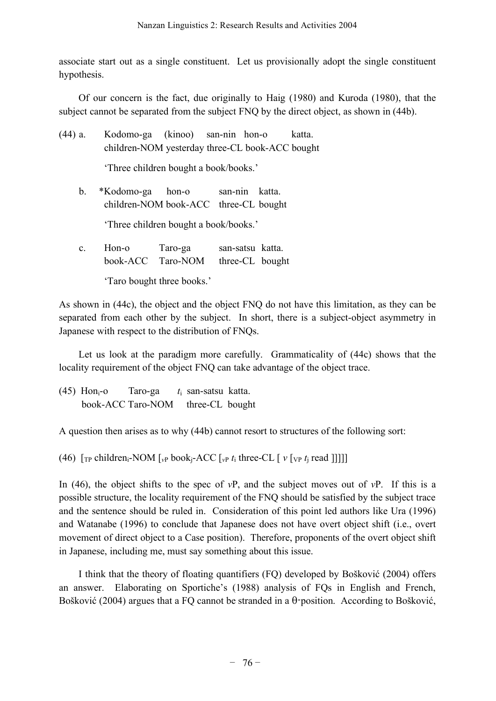associate start out as a single constituent. Let us provisionally adopt the single constituent hypothesis.

Of our concern is the fact, due originally to Haig (1980) and Kuroda (1980), that the subject cannot be separated from the subject FNQ by the direct object, as shown in (44b).

(44) a. Kodomo-ga (kinoo) san-nin hon-o katta. children-NOM yesterday three-CL book-ACC bought 'Three children bought a book/books.' b. \*Kodomo-ga hon-o san-nin katta. children-NOM book-ACC three-CL bought

'Three children bought a book/books.'

c. Hon-o Taro-ga san-satsu katta. book-ACC Taro-NOM three-CL bought 'Taro bought three books.'

As shown in (44c), the object and the object FNQ do not have this limitation, as they can be separated from each other by the subject. In short, there is a subject-object asymmetry in Japanese with respect to the distribution of FNQs.

Let us look at the paradigm more carefully. Grammaticality of (44c) shows that the locality requirement of the object FNQ can take advantage of the object trace.

(45) Honi-o Taro-ga *t*<sup>i</sup> san-satsu katta. book-ACC Taro-NOM three-CL bought

A question then arises as to why (44b) cannot resort to structures of the following sort:

(46)  $\lceil \text{TP} \text{ children}_i\text{-NOM} \rceil$  *v*  $\lceil \text{v} \rceil$  *book*<sub>i</sub> $\lceil \text{ACC} \rceil$  *x*  $\lceil \text{v} \rceil$  *x*  $\lceil \text{V} \rceil$  *x*  $\lceil \text{v} \rceil$  *x*  $\lceil \text{real} \rceil$  *llll* 

In (46), the object shifts to the spec of *v*P, and the subject moves out of *v*P. If this is a possible structure, the locality requirement of the FNQ should be satisfied by the subject trace and the sentence should be ruled in. Consideration of this point led authors like Ura (1996) and Watanabe (1996) to conclude that Japanese does not have overt object shift (i.e., overt movement of direct object to a Case position). Therefore, proponents of the overt object shift in Japanese, including me, must say something about this issue.

I think that the theory of floating quantifiers (FQ) developed by Bošković (2004) offers an answer. Elaborating on Sportiche's (1988) analysis of FQs in English and French, Bošković (2004) argues that a FQ cannot be stranded in a θ-position. According to Bošković,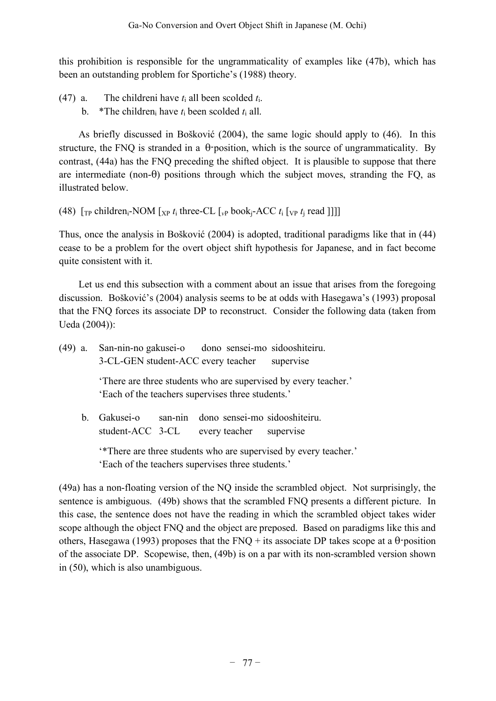this prohibition is responsible for the ungrammaticality of examples like (47b), which has been an outstanding problem for Sportiche's (1988) theory.

- (47) a. The childreni have  $t_i$  all been scolded  $t_i$ .
	- b. \*The children<sub>i</sub> have  $t_i$  been scolded  $t_i$  all.

As briefly discussed in Bošković (2004), the same logic should apply to (46). In this structure, the FNQ is stranded in a θ-position, which is the source of ungrammaticality. By contrast, (44a) has the FNQ preceding the shifted object. It is plausible to suppose that there are intermediate (non- $\theta$ ) positions through which the subject moves, stranding the FQ, as illustrated below.

(48)  $\lbrack \lbrack \rbrack_{TP}$  children<sub>i</sub>-NOM  $\lbrack \lbrack \rbrack_{XP}$  t<sub>i</sub> three-CL  $\lbrack \lbrack \lbrack \rbrack_{VP}$  book<sub>i</sub>-ACC  $t_i$   $\lbrack \lbrack \rbrack_{VP}$  read ]]]]

Thus, once the analysis in Bošković (2004) is adopted, traditional paradigms like that in (44) cease to be a problem for the overt object shift hypothesis for Japanese, and in fact become quite consistent with it.

Let us end this subsection with a comment about an issue that arises from the foregoing discussion. Bošković's (2004) analysis seems to be at odds with Hasegawa's (1993) proposal that the FNQ forces its associate DP to reconstruct. Consider the following data (taken from Ueda (2004)):

| (49) a. | San-nin-no gakusei-o dono sensei-mo sidooshiteiru.<br>3-CL-GEN student-ACC every teacher<br>supervise                 |  |  |  |  |
|---------|-----------------------------------------------------------------------------------------------------------------------|--|--|--|--|
|         | There are three students who are supervised by every teacher.<br>'Each of the teachers supervises three students.'    |  |  |  |  |
| $b_{-}$ | Gakusei-o san-nin dono sensei-mo sidooshiteiru.<br>student-ACC 3-CL every teacher supervise                           |  |  |  |  |
|         | **There are three students who are supervised by every teacher.'<br>'Each of the teachers supervises three students.' |  |  |  |  |

(49a) has a non-floating version of the NQ inside the scrambled object. Not surprisingly, the sentence is ambiguous. (49b) shows that the scrambled FNQ presents a different picture. In this case, the sentence does not have the reading in which the scrambled object takes wider scope although the object FNQ and the object are preposed. Based on paradigms like this and others, Hasegawa (1993) proposes that the FNQ + its associate DP takes scope at a  $\theta$ -position of the associate DP. Scopewise, then, (49b) is on a par with its non-scrambled version shown in (50), which is also unambiguous.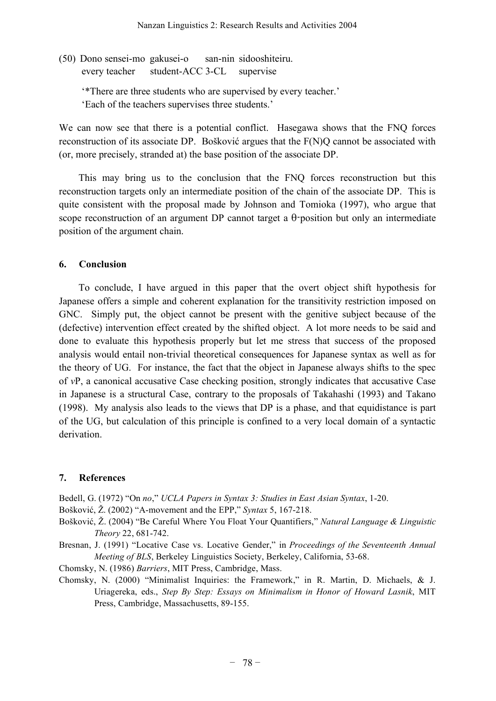(50) Dono sensei-mo gakusei-o san-nin sidooshiteiru. every teacher student-ACC 3-CL supervise

'\*There are three students who are supervised by every teacher.'

'Each of the teachers supervises three students.'

We can now see that there is a potential conflict. Hasegawa shows that the FNQ forces reconstruction of its associate DP. Bošković argues that the F(N)Q cannot be associated with (or, more precisely, stranded at) the base position of the associate DP.

This may bring us to the conclusion that the FNQ forces reconstruction but this reconstruction targets only an intermediate position of the chain of the associate DP. This is quite consistent with the proposal made by Johnson and Tomioka (1997), who argue that scope reconstruction of an argument DP cannot target a θ-position but only an intermediate position of the argument chain.

### **6. Conclusion**

To conclude, I have argued in this paper that the overt object shift hypothesis for Japanese offers a simple and coherent explanation for the transitivity restriction imposed on GNC. Simply put, the object cannot be present with the genitive subject because of the (defective) intervention effect created by the shifted object. A lot more needs to be said and done to evaluate this hypothesis properly but let me stress that success of the proposed analysis would entail non-trivial theoretical consequences for Japanese syntax as well as for the theory of UG. For instance, the fact that the object in Japanese always shifts to the spec of *v*P, a canonical accusative Case checking position, strongly indicates that accusative Case in Japanese is a structural Case, contrary to the proposals of Takahashi (1993) and Takano (1998). My analysis also leads to the views that DP is a phase, and that equidistance is part of the UG, but calculation of this principle is confined to a very local domain of a syntactic derivation.

# **7. References**

Bedell, G. (1972) "On *no*," *UCLA Papers in Syntax 3: Studies in East Asian Syntax*, 1-20.

Bošković, Ž. (2002) "A-movement and the EPP," *Syntax* 5, 167-218.

Bošković, Ž. (2004) "Be Careful Where You Float Your Quantifiers," *Natural Language & Linguistic Theory* 22, 681-742.

Bresnan, J. (1991) "Locative Case vs. Locative Gender," in *Proceedings of the Seventeenth Annual Meeting of BLS*, Berkeley Linguistics Society, Berkeley, California, 53-68.

Chomsky, N. (1986) *Barriers*, MIT Press, Cambridge, Mass.

Chomsky, N. (2000) "Minimalist Inquiries: the Framework," in R. Martin, D. Michaels, & J. Uriagereka, eds., *Step By Step: Essays on Minimalism in Honor of Howard Lasnik*, MIT Press, Cambridge, Massachusetts, 89-155.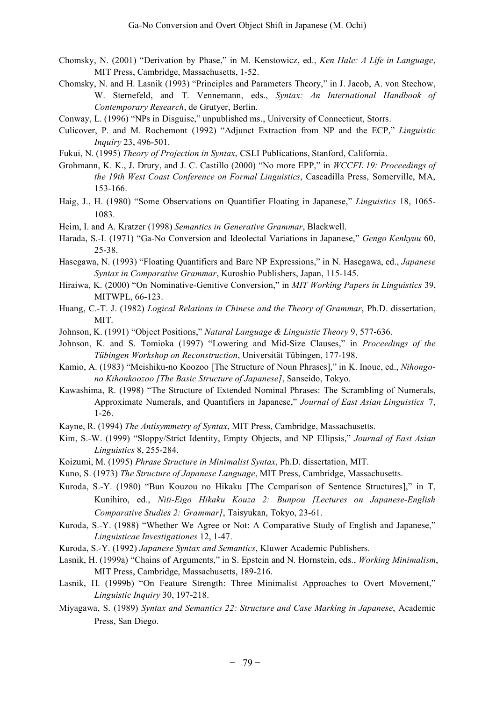- Chomsky, N. (2001) "Derivation by Phase," in M. Kenstowicz, ed., *Ken Hale: A Life in Language*, MIT Press, Cambridge, Massachusetts, 1-52.
- Chomsky, N. and H. Lasnik (1993) "Principles and Parameters Theory," in J. Jacob, A. von Stechow, W. Sternefeld, and T. Vennemann, eds., *Syntax: An International Handbook of Contemporary Research*, de Grutyer, Berlin.
- Conway, L. (1996) "NPs in Disguise," unpublished ms., University of Connecticut, Storrs.
- Culicover, P. and M. Rochemont (1992) "Adjunct Extraction from NP and the ECP," *Linguistic Inquiry* 23, 496-501.
- Fukui, N. (1995) *Theory of Projection in Syntax*, CSLI Publications, Stanford, California.
- Grohmann, K. K., J. Drury, and J. C. Castillo (2000) "No more EPP," in *WCCFL 19: Proceedings of the 19th West Coast Conference on Formal Linguistics*, Cascadilla Press, Somerville, MA, 153-166.
- Haig, J., H. (1980) "Some Observations on Quantifier Floating in Japanese," *Linguistics* 18, 1065- 1083.
- Heim, I. and A. Kratzer (1998) *Semantics in Generative Grammar*, Blackwell.
- Harada, S.-I. (1971) "Ga-No Conversion and Ideolectal Variations in Japanese," *Gengo Kenkyuu* 60, 25-38.
- Hasegawa, N. (1993) "Floating Quantifiers and Bare NP Expressions," in N. Hasegawa, ed., *Japanese Syntax in Comparative Grammar*, Kuroshio Publishers, Japan, 115-145.
- Hiraiwa, K. (2000) "On Nominative-Genitive Conversion," in *MIT Working Papers in Linguistics* 39, MITWPL, 66-123.
- Huang, C.-T. J. (1982) *Logical Relations in Chinese and the Theory of Grammar*, Ph.D. dissertation, MIT.
- Johnson, K. (1991) "Object Positions," *Natural Language & Linguistic Theory* 9, 577-636.
- Johnson, K. and S. Tomioka (1997) "Lowering and Mid-Size Clauses," in *Proceedings of the Tübingen Workshop on Reconstruction*, Universität Tübingen, 177-198.
- Kamio, A. (1983) "Meishiku-no Koozoo [The Structure of Noun Phrases]," in K. Inoue, ed., *Nihongono Kihonkoozoo [The Basic Structure of Japanese]*, Sanseido, Tokyo.
- Kawashima, R. (1998) "The Structure of Extended Nominal Phrases: The Scrambling of Numerals, Approximate Numerals, and Quantifiers in Japanese," *Journal of East Asian Linguistics* 7, 1-26.
- Kayne, R. (1994) *The Antisymmetry of Syntax*, MIT Press, Cambridge, Massachusetts.
- Kim, S.-W. (1999) "Sloppy/Strict Identity, Empty Objects, and NP Ellipsis," *Journal of East Asian Linguistics* 8, 255-284.
- Koizumi, M. (1995) *Phrase Structure in Minimalist Syntax*, Ph.D. dissertation, MIT.
- Kuno, S. (1973) *The Structure of Japanese Language*, MIT Press, Cambridge, Massachusetts.
- Kuroda, S.-Y. (1980) "Bun Kouzou no Hikaku [The Ccmparison of Sentence Structures]," in T, Kunihiro, ed., *Niti-Eigo Hikaku Kouza 2: Bunpou [Lectures on Japanese-English Comparative Studies 2: Grammar]*, Taisyukan, Tokyo, 23-61.
- Kuroda, S.-Y. (1988) "Whether We Agree or Not: A Comparative Study of English and Japanese," *Linguisticae Investigationes* 12, 1-47.
- Kuroda, S.-Y. (1992) *Japanese Syntax and Semantics*, Kluwer Academic Publishers.
- Lasnik, H. (1999a) "Chains of Arguments," in S. Epstein and N. Hornstein, eds., *Working Minimalism*, MIT Press, Cambridge, Massachusetts, 189-216.
- Lasnik, H. (1999b) "On Feature Strength: Three Minimalist Approaches to Overt Movement," *Linguistic Inquiry* 30, 197-218.
- Miyagawa, S. (1989) *Syntax and Semantics 22: Structure and Case Marking in Japanese*, Academic Press, San Diego.